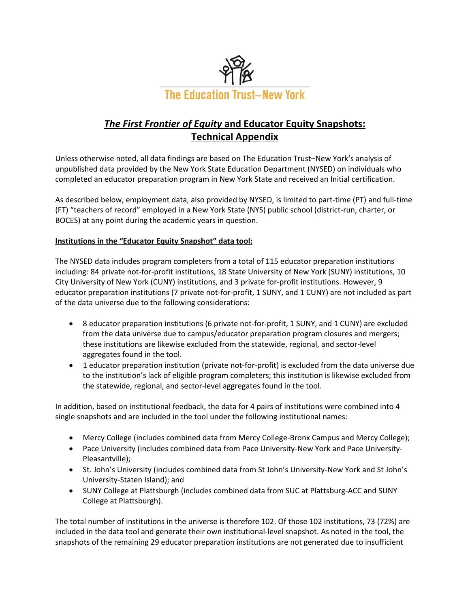

# *The First Frontier of Equity* **and Educator Equity Snapshots: Technical Appendix**

Unless otherwise noted, all data findings are based on The Education Trust–New York's analysis of unpublished data provided by the New York State Education Department (NYSED) on individuals who completed an educator preparation program in New York State and received an Initial certification.

As described below, employment data, also provided by NYSED, is limited to part-time (PT) and full-time (FT) "teachers of record" employed in a New York State (NYS) public school (district-run, charter, or BOCES) at any point during the academic years in question.

### **Institutions in the "Educator Equity Snapshot" data tool:**

The NYSED data includes program completers from a total of 115 educator preparation institutions including: 84 private not-for-profit institutions, 18 State University of New York (SUNY) institutions, 10 City University of New York (CUNY) institutions, and 3 private for-profit institutions. However, 9 educator preparation institutions (7 private not-for-profit, 1 SUNY, and 1 CUNY) are not included as part of the data universe due to the following considerations:

- 8 educator preparation institutions (6 private not-for-profit, 1 SUNY, and 1 CUNY) are excluded from the data universe due to campus/educator preparation program closures and mergers; these institutions are likewise excluded from the statewide, regional, and sector-level aggregates found in the tool.
- 1 educator preparation institution (private not-for-profit) is excluded from the data universe due to the institution's lack of eligible program completers; this institution is likewise excluded from the statewide, regional, and sector-level aggregates found in the tool.

In addition, based on institutional feedback, the data for 4 pairs of institutions were combined into 4 single snapshots and are included in the tool under the following institutional names:

- Mercy College (includes combined data from Mercy College-Bronx Campus and Mercy College);
- Pace University (includes combined data from Pace University-New York and Pace University-Pleasantville);
- St. John's University (includes combined data from St John's University-New York and St John's University-Staten Island); and
- SUNY College at Plattsburgh (includes combined data from SUC at Plattsburg-ACC and SUNY College at Plattsburgh).

The total number of institutions in the universe is therefore 102. Of those 102 institutions, 73 (72%) are included in the data tool and generate their own institutional-level snapshot. As noted in the tool, the snapshots of the remaining 29 educator preparation institutions are not generated due to insufficient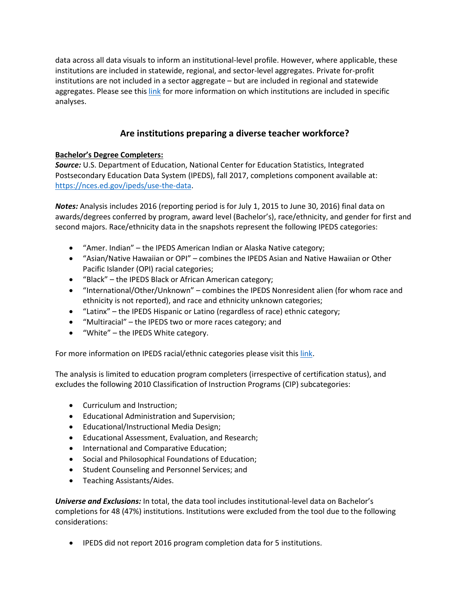data across all data visuals to inform an institutional-level profile. However, where applicable, these institutions are included in statewide, regional, and sector-level aggregates. Private for-profit institutions are not included in a sector aggregate – but are included in regional and statewide aggregates. Please see this [link](https://s3-us-east-2.amazonaws.com/edtrustmain/wp-content/uploads/sites/5/2019/08/09120926/Exclusions.pdf) for more information on which institutions are included in specific analyses.

# **Are institutions preparing a diverse teacher workforce?**

## **Bachelor's Degree Completers:**

*Source:* U.S. Department of Education, National Center for Education Statistics, Integrated Postsecondary Education Data System (IPEDS), fall 2017, completions component available at: [https://nces.ed.gov/ipeds/use-the-data.](https://nces.ed.gov/ipeds/use-the-data)

*Notes:* Analysis includes 2016 (reporting period is for July 1, 2015 to June 30, 2016) final data on awards/degrees conferred by program, award level (Bachelor's), race/ethnicity, and gender for first and second majors. Race/ethnicity data in the snapshots represent the following IPEDS categories:

- "Amer. Indian" the IPEDS American Indian or Alaska Native category;
- "Asian/Native Hawaiian or OPI" combines the IPEDS Asian and Native Hawaiian or Other Pacific Islander (OPI) racial categories;
- "Black" the IPEDS Black or African American category;
- "International/Other/Unknown" combines the IPEDS Nonresident alien (for whom race and ethnicity is not reported), and race and ethnicity unknown categories;
- "Latinx" the IPEDS Hispanic or Latino (regardless of race) ethnic category;
- "Multiracial" the IPEDS two or more races category; and
- "White" the IPEDS White category.

For more information on IPEDS racial/ethnic categories please visit this [link.](https://surveys.nces.ed.gov/ipeds/visfaq_re.aspx)

The analysis is limited to education program completers (irrespective of certification status), and excludes the following 2010 Classification of Instruction Programs (CIP) subcategories:

- Curriculum and Instruction;
- Educational Administration and Supervision;
- Educational/Instructional Media Design;
- Educational Assessment, Evaluation, and Research;
- International and Comparative Education;
- Social and Philosophical Foundations of Education;
- Student Counseling and Personnel Services; and
- Teaching Assistants/Aides.

*Universe and Exclusions:* In total, the data tool includes institutional-level data on Bachelor's completions for 48 (47%) institutions. Institutions were excluded from the tool due to the following considerations:

• IPEDS did not report 2016 program completion data for 5 institutions.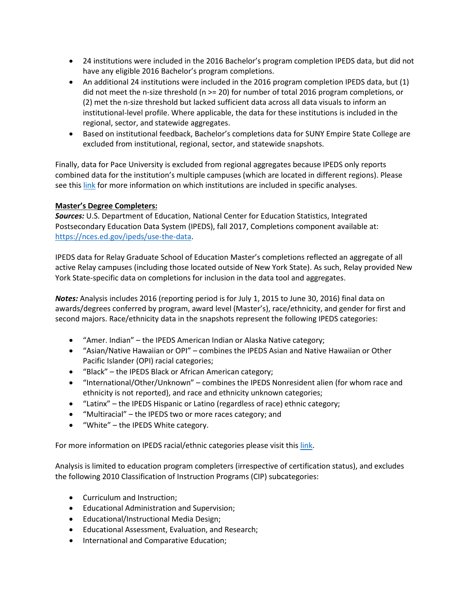- 24 institutions were included in the 2016 Bachelor's program completion IPEDS data, but did not have any eligible 2016 Bachelor's program completions.
- An additional 24 institutions were included in the 2016 program completion IPEDS data, but (1) did not meet the n-size threshold (n >= 20) for number of total 2016 program completions, or (2) met the n-size threshold but lacked sufficient data across all data visuals to inform an institutional-level profile. Where applicable, the data for these institutions is included in the regional, sector, and statewide aggregates.
- Based on institutional feedback, Bachelor's completions data for SUNY Empire State College are excluded from institutional, regional, sector, and statewide snapshots.

Finally, data for Pace University is excluded from regional aggregates because IPEDS only reports combined data for the institution's multiple campuses (which are located in different regions). Please see thi[s link](https://s3-us-east-2.amazonaws.com/edtrustmain/wp-content/uploads/sites/5/2019/08/09120926/Exclusions.pdf) for more information on which institutions are included in specific analyses.

### **Master's Degree Completers:**

*Sources:* U.S. Department of Education, National Center for Education Statistics, Integrated Postsecondary Education Data System (IPEDS), fall 2017, Completions component available at: [https://nces.ed.gov/ipeds/use-the-data.](https://nces.ed.gov/ipeds/use-the-data)

IPEDS data for Relay Graduate School of Education Master's completions reflected an aggregate of all active Relay campuses (including those located outside of New York State). As such, Relay provided New York State-specific data on completions for inclusion in the data tool and aggregates.

*Notes:* Analysis includes 2016 (reporting period is for July 1, 2015 to June 30, 2016) final data on awards/degrees conferred by program, award level (Master's), race/ethnicity, and gender for first and second majors. Race/ethnicity data in the snapshots represent the following IPEDS categories:

- "Amer. Indian" the IPEDS American Indian or Alaska Native category;
- "Asian/Native Hawaiian or OPI" combines the IPEDS Asian and Native Hawaiian or Other Pacific Islander (OPI) racial categories;
- "Black" the IPEDS Black or African American category;
- "International/Other/Unknown" combines the IPEDS Nonresident alien (for whom race and ethnicity is not reported), and race and ethnicity unknown categories;
- "Latinx" the IPEDS Hispanic or Latino (regardless of race) ethnic category;
- "Multiracial" the IPEDS two or more races category; and
- "White" the IPEDS White category.

For more information on IPEDS racial/ethnic categories please visit this [link.](https://surveys.nces.ed.gov/ipeds/visfaq_re.aspx)

Analysis is limited to education program completers (irrespective of certification status), and excludes the following 2010 Classification of Instruction Programs (CIP) subcategories:

- Curriculum and Instruction;
- Educational Administration and Supervision;
- Educational/Instructional Media Design;
- Educational Assessment, Evaluation, and Research;
- International and Comparative Education;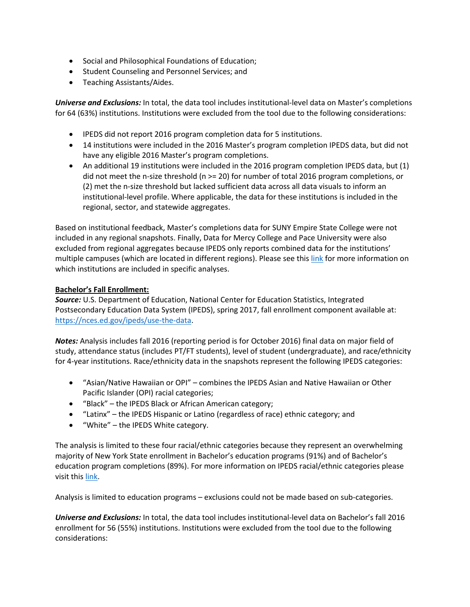- Social and Philosophical Foundations of Education;
- Student Counseling and Personnel Services; and
- Teaching Assistants/Aides.

*Universe and Exclusions:* In total, the data tool includes institutional-level data on Master's completions for 64 (63%) institutions. Institutions were excluded from the tool due to the following considerations:

- IPEDS did not report 2016 program completion data for 5 institutions.
- 14 institutions were included in the 2016 Master's program completion IPEDS data, but did not have any eligible 2016 Master's program completions.
- An additional 19 institutions were included in the 2016 program completion IPEDS data, but (1) did not meet the n-size threshold (n >= 20) for number of total 2016 program completions, or (2) met the n-size threshold but lacked sufficient data across all data visuals to inform an institutional-level profile. Where applicable, the data for these institutions is included in the regional, sector, and statewide aggregates.

Based on institutional feedback, Master's completions data for SUNY Empire State College were not included in any regional snapshots. Finally, Data for Mercy College and Pace University were also excluded from regional aggregates because IPEDS only reports combined data for the institutions' multiple campuses (which are located in different regions). Please see this [link](https://s3-us-east-2.amazonaws.com/edtrustmain/wp-content/uploads/sites/5/2019/08/09120926/Exclusions.pdf) for more information on which institutions are included in specific analyses.

### **Bachelor's Fall Enrollment:**

*Source:* U.S. Department of Education, National Center for Education Statistics, Integrated Postsecondary Education Data System (IPEDS), spring 2017, fall enrollment component available at: [https://nces.ed.gov/ipeds/use-the-data.](https://nces.ed.gov/ipeds/use-the-data)

*Notes:* Analysis includes fall 2016 (reporting period is for October 2016) final data on major field of study, attendance status (includes PT/FT students), level of student (undergraduate), and race/ethnicity for 4-year institutions. Race/ethnicity data in the snapshots represent the following IPEDS categories:

- "Asian/Native Hawaiian or OPI" combines the IPEDS Asian and Native Hawaiian or Other Pacific Islander (OPI) racial categories;
- "Black" the IPEDS Black or African American category;
- "Latinx" the IPEDS Hispanic or Latino (regardless of race) ethnic category; and
- "White" the IPEDS White category.

The analysis is limited to these four racial/ethnic categories because they represent an overwhelming majority of New York State enrollment in Bachelor's education programs (91%) and of Bachelor's education program completions (89%). For more information on IPEDS racial/ethnic categories please visit this [link.](https://surveys.nces.ed.gov/ipeds/visfaq_re.aspx)

Analysis is limited to education programs – exclusions could not be made based on sub-categories.

*Universe and Exclusions:* In total, the data tool includes institutional-level data on Bachelor's fall 2016 enrollment for 56 (55%) institutions. Institutions were excluded from the tool due to the following considerations: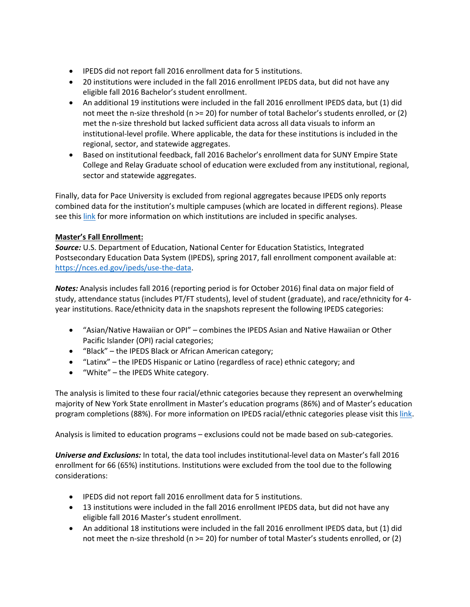- IPEDS did not report fall 2016 enrollment data for 5 institutions.
- 20 institutions were included in the fall 2016 enrollment IPEDS data, but did not have any eligible fall 2016 Bachelor's student enrollment.
- An additional 19 institutions were included in the fall 2016 enrollment IPEDS data, but (1) did not meet the n-size threshold (n >= 20) for number of total Bachelor's students enrolled, or (2) met the n-size threshold but lacked sufficient data across all data visuals to inform an institutional-level profile. Where applicable, the data for these institutions is included in the regional, sector, and statewide aggregates.
- Based on institutional feedback, fall 2016 Bachelor's enrollment data for SUNY Empire State College and Relay Graduate school of education were excluded from any institutional, regional, sector and statewide aggregates.

Finally, data for Pace University is excluded from regional aggregates because IPEDS only reports combined data for the institution's multiple campuses (which are located in different regions). Please see thi[s link](https://s3-us-east-2.amazonaws.com/edtrustmain/wp-content/uploads/sites/5/2019/08/09120926/Exclusions.pdf) for more information on which institutions are included in specific analyses.

## **Master's Fall Enrollment:**

*Source:* U.S. Department of Education, National Center for Education Statistics, Integrated Postsecondary Education Data System (IPEDS), spring 2017, fall enrollment component available at: [https://nces.ed.gov/ipeds/use-the-data.](https://nces.ed.gov/ipeds/use-the-data)

*Notes:* Analysis includes fall 2016 (reporting period is for October 2016) final data on major field of study, attendance status (includes PT/FT students), level of student (graduate), and race/ethnicity for 4 year institutions. Race/ethnicity data in the snapshots represent the following IPEDS categories:

- "Asian/Native Hawaiian or OPI" combines the IPEDS Asian and Native Hawaiian or Other Pacific Islander (OPI) racial categories;
- "Black" the IPEDS Black or African American category;
- "Latinx" the IPEDS Hispanic or Latino (regardless of race) ethnic category; and
- "White" the IPEDS White category.

The analysis is limited to these four racial/ethnic categories because they represent an overwhelming majority of New York State enrollment in Master's education programs (86%) and of Master's education program completions (88%). For more information on IPEDS racial/ethnic categories please visit this [link.](https://surveys.nces.ed.gov/ipeds/visfaq_re.aspx)

Analysis is limited to education programs – exclusions could not be made based on sub-categories.

*Universe and Exclusions:* In total, the data tool includes institutional-level data on Master's fall 2016 enrollment for 66 (65%) institutions. Institutions were excluded from the tool due to the following considerations:

- IPEDS did not report fall 2016 enrollment data for 5 institutions.
- 13 institutions were included in the fall 2016 enrollment IPEDS data, but did not have any eligible fall 2016 Master's student enrollment.
- An additional 18 institutions were included in the fall 2016 enrollment IPEDS data, but (1) did not meet the n-size threshold (n >= 20) for number of total Master's students enrolled, or (2)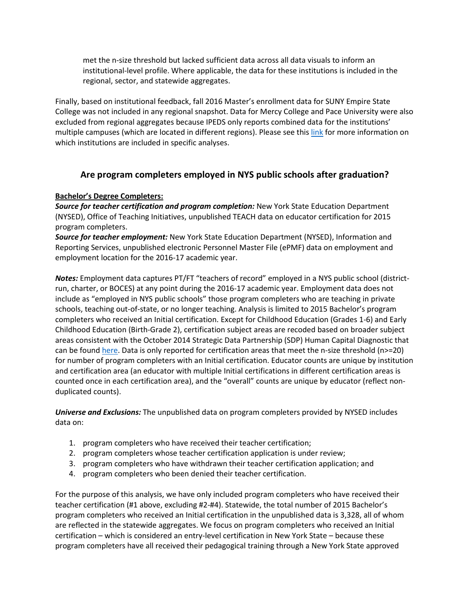met the n-size threshold but lacked sufficient data across all data visuals to inform an institutional-level profile. Where applicable, the data for these institutions is included in the regional, sector, and statewide aggregates.

Finally, based on institutional feedback, fall 2016 Master's enrollment data for SUNY Empire State College was not included in any regional snapshot. Data for Mercy College and Pace University were also excluded from regional aggregates because IPEDS only reports combined data for the institutions' multiple campuses (which are located in different regions). Please see this [link](https://s3-us-east-2.amazonaws.com/edtrustmain/wp-content/uploads/sites/5/2019/08/09120926/Exclusions.pdf) for more information on which institutions are included in specific analyses.

# **Are program completers employed in NYS public schools after graduation?**

### **Bachelor's Degree Completers:**

*Source for teacher certification and program completion:* New York State Education Department (NYSED), Office of Teaching Initiatives, unpublished TEACH data on educator certification for 2015 program completers.

*Source for teacher employment:* New York State Education Department (NYSED), Information and Reporting Services, unpublished electronic Personnel Master File (ePMF) data on employment and employment location for the 2016-17 academic year.

*Notes:* Employment data captures PT/FT "teachers of record" employed in a NYS public school (districtrun, charter, or BOCES) at any point during the 2016-17 academic year. Employment data does not include as "employed in NYS public schools" those program completers who are teaching in private schools, teaching out-of-state, or no longer teaching. Analysis is limited to 2015 Bachelor's program completers who received an Initial certification. Except for Childhood Education (Grades 1-6) and Early Childhood Education (Birth-Grade 2), certification subject areas are recoded based on broader subject areas consistent with the October 2014 Strategic Data Partnership (SDP) Human Capital Diagnostic that can be found [here.](https://cepr.harvard.edu/files/cepr/files/sdp-diagnostic-hc-nysed.pdf) Data is only reported for certification areas that meet the n-size threshold (n>=20) for number of program completers with an Initial certification. Educator counts are unique by institution and certification area (an educator with multiple Initial certifications in different certification areas is counted once in each certification area), and the "overall" counts are unique by educator (reflect nonduplicated counts).

*Universe and Exclusions:* The unpublished data on program completers provided by NYSED includes data on:

- 1. program completers who have received their teacher certification;
- 2. program completers whose teacher certification application is under review;
- 3. program completers who have withdrawn their teacher certification application; and
- 4. program completers who been denied their teacher certification.

For the purpose of this analysis, we have only included program completers who have received their teacher certification (#1 above, excluding #2-#4). Statewide, the total number of 2015 Bachelor's program completers who received an Initial certification in the unpublished data is 3,328, all of whom are reflected in the statewide aggregates. We focus on program completers who received an Initial certification – which is considered an entry-level certification in New York State – because these program completers have all received their pedagogical training through a New York State approved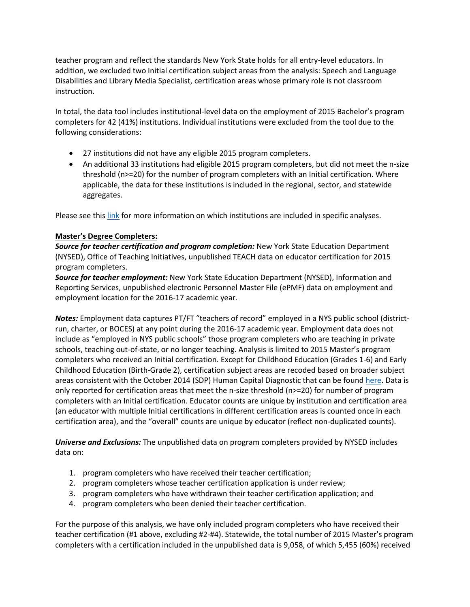teacher program and reflect the standards New York State holds for all entry-level educators. In addition, we excluded two Initial certification subject areas from the analysis: Speech and Language Disabilities and Library Media Specialist, certification areas whose primary role is not classroom instruction.

In total, the data tool includes institutional-level data on the employment of 2015 Bachelor's program completers for 42 (41%) institutions. Individual institutions were excluded from the tool due to the following considerations:

- 27 institutions did not have any eligible 2015 program completers.
- An additional 33 institutions had eligible 2015 program completers, but did not meet the n-size threshold (n>=20) for the number of program completers with an Initial certification. Where applicable, the data for these institutions is included in the regional, sector, and statewide aggregates.

Please see thi[s link](https://s3-us-east-2.amazonaws.com/edtrustmain/wp-content/uploads/sites/5/2019/08/09120926/Exclusions.pdf) for more information on which institutions are included in specific analyses.

### **Master's Degree Completers:**

*Source for teacher certification and program completion:* New York State Education Department (NYSED), Office of Teaching Initiatives, unpublished TEACH data on educator certification for 2015 program completers.

*Source for teacher employment:* New York State Education Department (NYSED), Information and Reporting Services, unpublished electronic Personnel Master File (ePMF) data on employment and employment location for the 2016-17 academic year.

*Notes:* Employment data captures PT/FT "teachers of record" employed in a NYS public school (districtrun, charter, or BOCES) at any point during the 2016-17 academic year. Employment data does not include as "employed in NYS public schools" those program completers who are teaching in private schools, teaching out-of-state, or no longer teaching. Analysis is limited to 2015 Master's program completers who received an Initial certification. Except for Childhood Education (Grades 1-6) and Early Childhood Education (Birth-Grade 2), certification subject areas are recoded based on broader subject areas consistent with the October 2014 (SDP) Human Capital Diagnostic that can be found [here.](https://cepr.harvard.edu/files/cepr/files/sdp-diagnostic-hc-nysed.pdf) Data is only reported for certification areas that meet the n-size threshold (n>=20) for number of program completers with an Initial certification. Educator counts are unique by institution and certification area (an educator with multiple Initial certifications in different certification areas is counted once in each certification area), and the "overall" counts are unique by educator (reflect non-duplicated counts).

*Universe and Exclusions:* The unpublished data on program completers provided by NYSED includes data on:

- 1. program completers who have received their teacher certification;
- 2. program completers whose teacher certification application is under review;
- 3. program completers who have withdrawn their teacher certification application; and
- 4. program completers who been denied their teacher certification.

For the purpose of this analysis, we have only included program completers who have received their teacher certification (#1 above, excluding #2-#4). Statewide, the total number of 2015 Master's program completers with a certification included in the unpublished data is 9,058, of which 5,455 (60%) received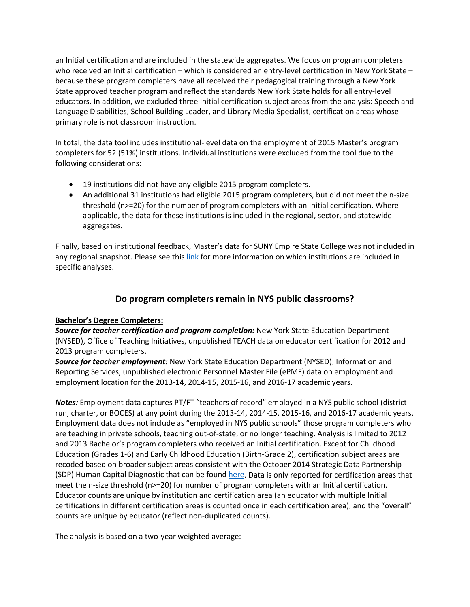an Initial certification and are included in the statewide aggregates. We focus on program completers who received an Initial certification – which is considered an entry-level certification in New York State – because these program completers have all received their pedagogical training through a New York State approved teacher program and reflect the standards New York State holds for all entry-level educators. In addition, we excluded three Initial certification subject areas from the analysis: Speech and Language Disabilities, School Building Leader, and Library Media Specialist, certification areas whose primary role is not classroom instruction.

In total, the data tool includes institutional-level data on the employment of 2015 Master's program completers for 52 (51%) institutions. Individual institutions were excluded from the tool due to the following considerations:

- 19 institutions did not have any eligible 2015 program completers.
- An additional 31 institutions had eligible 2015 program completers, but did not meet the n-size threshold (n>=20) for the number of program completers with an Initial certification. Where applicable, the data for these institutions is included in the regional, sector, and statewide aggregates.

Finally, based on institutional feedback, Master's data for SUNY Empire State College was not included in any regional snapshot. Please see this [link](https://s3-us-east-2.amazonaws.com/edtrustmain/wp-content/uploads/sites/5/2019/08/09120926/Exclusions.pdf) for more information on which institutions are included in specific analyses.

# **Do program completers remain in NYS public classrooms?**

### **Bachelor's Degree Completers:**

*Source for teacher certification and program completion:* New York State Education Department (NYSED), Office of Teaching Initiatives, unpublished TEACH data on educator certification for 2012 and 2013 program completers.

*Source for teacher employment:* New York State Education Department (NYSED), Information and Reporting Services, unpublished electronic Personnel Master File (ePMF) data on employment and employment location for the 2013-14, 2014-15, 2015-16, and 2016-17 academic years.

*Notes:* Employment data captures PT/FT "teachers of record" employed in a NYS public school (districtrun, charter, or BOCES) at any point during the 2013-14, 2014-15, 2015-16, and 2016-17 academic years. Employment data does not include as "employed in NYS public schools" those program completers who are teaching in private schools, teaching out-of-state, or no longer teaching. Analysis is limited to 2012 and 2013 Bachelor's program completers who received an Initial certification. Except for Childhood Education (Grades 1-6) and Early Childhood Education (Birth-Grade 2), certification subject areas are recoded based on broader subject areas consistent with the October 2014 Strategic Data Partnership (SDP) Human Capital Diagnostic that can be found [here.](https://cepr.harvard.edu/files/cepr/files/sdp-diagnostic-hc-nysed.pdf) Data is only reported for certification areas that meet the n-size threshold (n>=20) for number of program completers with an Initial certification. Educator counts are unique by institution and certification area (an educator with multiple Initial certifications in different certification areas is counted once in each certification area), and the "overall" counts are unique by educator (reflect non-duplicated counts).

The analysis is based on a two-year weighted average: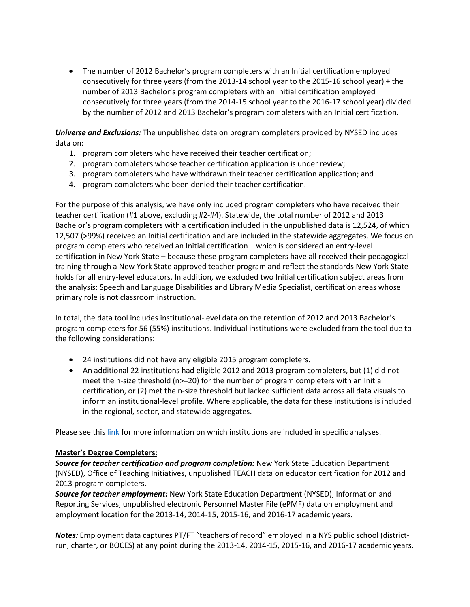• The number of 2012 Bachelor's program completers with an Initial certification employed consecutively for three years (from the 2013-14 school year to the 2015-16 school year) + the number of 2013 Bachelor's program completers with an Initial certification employed consecutively for three years (from the 2014-15 school year to the 2016-17 school year) divided by the number of 2012 and 2013 Bachelor's program completers with an Initial certification.

*Universe and Exclusions:* The unpublished data on program completers provided by NYSED includes data on:

- 1. program completers who have received their teacher certification;
- 2. program completers whose teacher certification application is under review;
- 3. program completers who have withdrawn their teacher certification application; and
- 4. program completers who been denied their teacher certification.

For the purpose of this analysis, we have only included program completers who have received their teacher certification (#1 above, excluding #2-#4). Statewide, the total number of 2012 and 2013 Bachelor's program completers with a certification included in the unpublished data is 12,524, of which 12,507 (>99%) received an Initial certification and are included in the statewide aggregates. We focus on program completers who received an Initial certification – which is considered an entry-level certification in New York State – because these program completers have all received their pedagogical training through a New York State approved teacher program and reflect the standards New York State holds for all entry-level educators. In addition, we excluded two Initial certification subject areas from the analysis: Speech and Language Disabilities and Library Media Specialist, certification areas whose primary role is not classroom instruction.

In total, the data tool includes institutional-level data on the retention of 2012 and 2013 Bachelor's program completers for 56 (55%) institutions. Individual institutions were excluded from the tool due to the following considerations:

- 24 institutions did not have any eligible 2015 program completers.
- An additional 22 institutions had eligible 2012 and 2013 program completers, but (1) did not meet the n-size threshold (n>=20) for the number of program completers with an Initial certification, or (2) met the n-size threshold but lacked sufficient data across all data visuals to inform an institutional-level profile. Where applicable, the data for these institutions is included in the regional, sector, and statewide aggregates.

Please see thi[s link](https://s3-us-east-2.amazonaws.com/edtrustmain/wp-content/uploads/sites/5/2019/08/09120926/Exclusions.pdf) for more information on which institutions are included in specific analyses.

#### **Master's Degree Completers:**

*Source for teacher certification and program completion:* New York State Education Department (NYSED), Office of Teaching Initiatives, unpublished TEACH data on educator certification for 2012 and 2013 program completers.

*Source for teacher employment:* New York State Education Department (NYSED), Information and Reporting Services, unpublished electronic Personnel Master File (ePMF) data on employment and employment location for the 2013-14, 2014-15, 2015-16, and 2016-17 academic years.

*Notes:* Employment data captures PT/FT "teachers of record" employed in a NYS public school (districtrun, charter, or BOCES) at any point during the 2013-14, 2014-15, 2015-16, and 2016-17 academic years.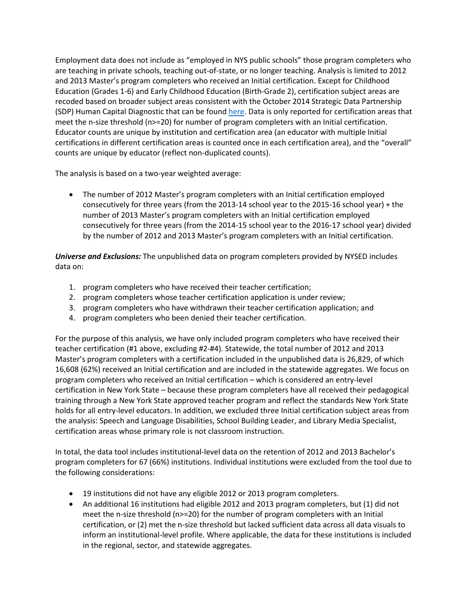Employment data does not include as "employed in NYS public schools" those program completers who are teaching in private schools, teaching out-of-state, or no longer teaching. Analysis is limited to 2012 and 2013 Master's program completers who received an Initial certification. Except for Childhood Education (Grades 1-6) and Early Childhood Education (Birth-Grade 2), certification subject areas are recoded based on broader subject areas consistent with the October 2014 Strategic Data Partnership (SDP) Human Capital Diagnostic that can be found [here.](https://cepr.harvard.edu/files/cepr/files/sdp-diagnostic-hc-nysed.pdf) Data is only reported for certification areas that meet the n-size threshold (n>=20) for number of program completers with an Initial certification. Educator counts are unique by institution and certification area (an educator with multiple Initial certifications in different certification areas is counted once in each certification area), and the "overall" counts are unique by educator (reflect non-duplicated counts).

The analysis is based on a two-year weighted average:

• The number of 2012 Master's program completers with an Initial certification employed consecutively for three years (from the 2013-14 school year to the 2015-16 school year) + the number of 2013 Master's program completers with an Initial certification employed consecutively for three years (from the 2014-15 school year to the 2016-17 school year) divided by the number of 2012 and 2013 Master's program completers with an Initial certification.

*Universe and Exclusions:* The unpublished data on program completers provided by NYSED includes data on:

- 1. program completers who have received their teacher certification;
- 2. program completers whose teacher certification application is under review;
- 3. program completers who have withdrawn their teacher certification application; and
- 4. program completers who been denied their teacher certification.

For the purpose of this analysis, we have only included program completers who have received their teacher certification (#1 above, excluding #2-#4). Statewide, the total number of 2012 and 2013 Master's program completers with a certification included in the unpublished data is 26,829, of which 16,608 (62%) received an Initial certification and are included in the statewide aggregates. We focus on program completers who received an Initial certification – which is considered an entry-level certification in New York State – because these program completers have all received their pedagogical training through a New York State approved teacher program and reflect the standards New York State holds for all entry-level educators. In addition, we excluded three Initial certification subject areas from the analysis: Speech and Language Disabilities, School Building Leader, and Library Media Specialist, certification areas whose primary role is not classroom instruction.

In total, the data tool includes institutional-level data on the retention of 2012 and 2013 Bachelor's program completers for 67 (66%) institutions. Individual institutions were excluded from the tool due to the following considerations:

- 19 institutions did not have any eligible 2012 or 2013 program completers.
- An additional 16 institutions had eligible 2012 and 2013 program completers, but (1) did not meet the n-size threshold (n>=20) for the number of program completers with an Initial certification, or (2) met the n-size threshold but lacked sufficient data across all data visuals to inform an institutional-level profile. Where applicable, the data for these institutions is included in the regional, sector, and statewide aggregates.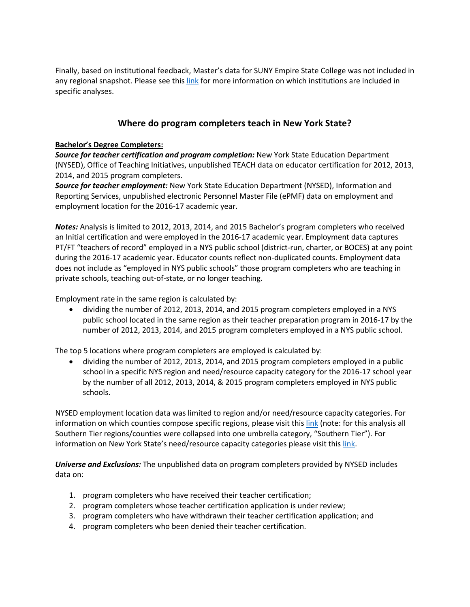Finally, based on institutional feedback, Master's data for SUNY Empire State College was not included in any regional snapshot. Please see this [link](https://s3-us-east-2.amazonaws.com/edtrustmain/wp-content/uploads/sites/5/2019/08/09120926/Exclusions.pdf) for more information on which institutions are included in specific analyses.

# **Where do program completers teach in New York State?**

### **Bachelor's Degree Completers:**

*Source for teacher certification and program completion:* New York State Education Department (NYSED), Office of Teaching Initiatives, unpublished TEACH data on educator certification for 2012, 2013, 2014, and 2015 program completers.

*Source for teacher employment:* New York State Education Department (NYSED), Information and Reporting Services, unpublished electronic Personnel Master File (ePMF) data on employment and employment location for the 2016-17 academic year.

*Notes:* Analysis is limited to 2012, 2013, 2014, and 2015 Bachelor's program completers who received an Initial certification and were employed in the 2016-17 academic year. Employment data captures PT/FT "teachers of record" employed in a NYS public school (district-run, charter, or BOCES) at any point during the 2016-17 academic year. Educator counts reflect non-duplicated counts. Employment data does not include as "employed in NYS public schools" those program completers who are teaching in private schools, teaching out-of-state, or no longer teaching.

Employment rate in the same region is calculated by:

• dividing the number of 2012, 2013, 2014, and 2015 program completers employed in a NYS public school located in the same region as their teacher preparation program in 2016-17 by the number of 2012, 2013, 2014, and 2015 program completers employed in a NYS public school.

The top 5 locations where program completers are employed is calculated by:

• dividing the number of 2012, 2013, 2014, and 2015 program completers employed in a public school in a specific NYS region and need/resource capacity category for the 2016-17 school year by the number of all 2012, 2013, 2014, & 2015 program completers employed in NYS public schools.

NYSED employment location data was limited to region and/or need/resource capacity categories. For information on which counties compose specific regions, please visit this [link](http://www.p12.nysed.gov/irs/pmf/CountiesCodes.htm) (note: for this analysis all Southern Tier regions/counties were collapsed into one umbrella category, "Southern Tier"). For information on New York State's need/resource capacity categories please visit thi[s link.](http://www.p12.nysed.gov/irs/accountability/2011-12/NeedResourceCapacityIndex.pdf)

*Universe and Exclusions:* The unpublished data on program completers provided by NYSED includes data on:

- 1. program completers who have received their teacher certification;
- 2. program completers whose teacher certification application is under review;
- 3. program completers who have withdrawn their teacher certification application; and
- 4. program completers who been denied their teacher certification.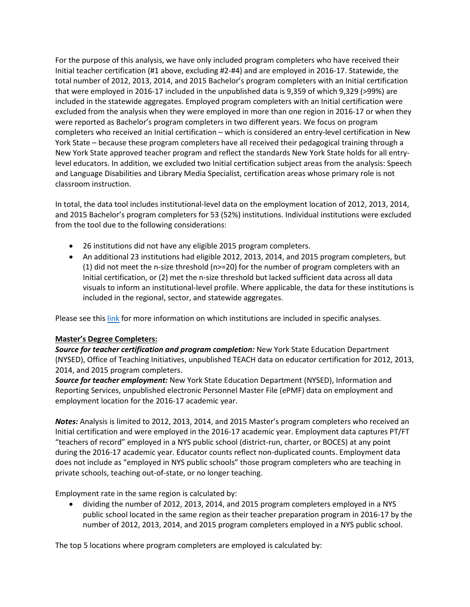For the purpose of this analysis, we have only included program completers who have received their Initial teacher certification (#1 above, excluding #2-#4) and are employed in 2016-17. Statewide, the total number of 2012, 2013, 2014, and 2015 Bachelor's program completers with an Initial certification that were employed in 2016-17 included in the unpublished data is 9,359 of which 9,329 (>99%) are included in the statewide aggregates. Employed program completers with an Initial certification were excluded from the analysis when they were employed in more than one region in 2016-17 or when they were reported as Bachelor's program completers in two different years. We focus on program completers who received an Initial certification – which is considered an entry-level certification in New York State – because these program completers have all received their pedagogical training through a New York State approved teacher program and reflect the standards New York State holds for all entrylevel educators. In addition, we excluded two Initial certification subject areas from the analysis: Speech and Language Disabilities and Library Media Specialist, certification areas whose primary role is not classroom instruction.

In total, the data tool includes institutional-level data on the employment location of 2012, 2013, 2014, and 2015 Bachelor's program completers for 53 (52%) institutions. Individual institutions were excluded from the tool due to the following considerations:

- 26 institutions did not have any eligible 2015 program completers.
- An additional 23 institutions had eligible 2012, 2013, 2014, and 2015 program completers, but (1) did not meet the n-size threshold ( $n>=20$ ) for the number of program completers with an Initial certification, or (2) met the n-size threshold but lacked sufficient data across all data visuals to inform an institutional-level profile. Where applicable, the data for these institutions is included in the regional, sector, and statewide aggregates.

Please see thi[s link](https://s3-us-east-2.amazonaws.com/edtrustmain/wp-content/uploads/sites/5/2019/08/09120926/Exclusions.pdf) for more information on which institutions are included in specific analyses.

#### **Master's Degree Completers:**

*Source for teacher certification and program completion:* New York State Education Department (NYSED), Office of Teaching Initiatives, unpublished TEACH data on educator certification for 2012, 2013, 2014, and 2015 program completers.

*Source for teacher employment:* New York State Education Department (NYSED), Information and Reporting Services, unpublished electronic Personnel Master File (ePMF) data on employment and employment location for the 2016-17 academic year.

*Notes:* Analysis is limited to 2012, 2013, 2014, and 2015 Master's program completers who received an Initial certification and were employed in the 2016-17 academic year. Employment data captures PT/FT "teachers of record" employed in a NYS public school (district-run, charter, or BOCES) at any point during the 2016-17 academic year. Educator counts reflect non-duplicated counts. Employment data does not include as "employed in NYS public schools" those program completers who are teaching in private schools, teaching out-of-state, or no longer teaching.

Employment rate in the same region is calculated by:

• dividing the number of 2012, 2013, 2014, and 2015 program completers employed in a NYS public school located in the same region as their teacher preparation program in 2016-17 by the number of 2012, 2013, 2014, and 2015 program completers employed in a NYS public school.

The top 5 locations where program completers are employed is calculated by: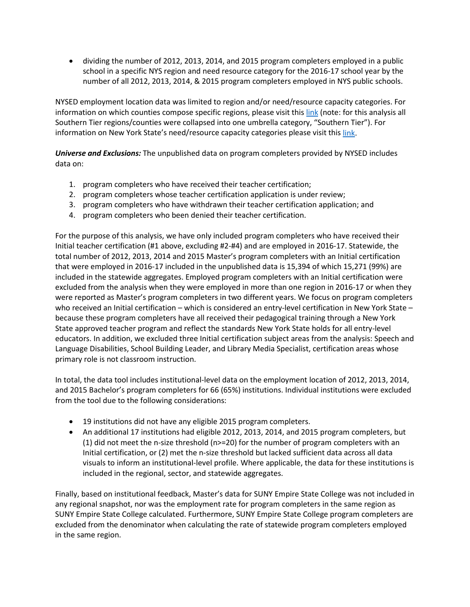• dividing the number of 2012, 2013, 2014, and 2015 program completers employed in a public school in a specific NYS region and need resource category for the 2016-17 school year by the number of all 2012, 2013, 2014, & 2015 program completers employed in NYS public schools.

NYSED employment location data was limited to region and/or need/resource capacity categories. For information on which counties compose specific regions, please visit this [link](http://www.p12.nysed.gov/irs/pmf/CountiesCodes.htm) (note: for this analysis all Southern Tier regions/counties were collapsed into one umbrella category, "Southern Tier"). For information on New York State's need/resource capacity categories please visit thi[s link.](http://www.p12.nysed.gov/irs/accountability/2011-12/NeedResourceCapacityIndex.pdf)

*Universe and Exclusions:* The unpublished data on program completers provided by NYSED includes data on:

- 1. program completers who have received their teacher certification;
- 2. program completers whose teacher certification application is under review;
- 3. program completers who have withdrawn their teacher certification application; and
- 4. program completers who been denied their teacher certification.

For the purpose of this analysis, we have only included program completers who have received their Initial teacher certification (#1 above, excluding #2-#4) and are employed in 2016-17. Statewide, the total number of 2012, 2013, 2014 and 2015 Master's program completers with an Initial certification that were employed in 2016-17 included in the unpublished data is 15,394 of which 15,271 (99%) are included in the statewide aggregates. Employed program completers with an Initial certification were excluded from the analysis when they were employed in more than one region in 2016-17 or when they were reported as Master's program completers in two different years. We focus on program completers who received an Initial certification – which is considered an entry-level certification in New York State – because these program completers have all received their pedagogical training through a New York State approved teacher program and reflect the standards New York State holds for all entry-level educators. In addition, we excluded three Initial certification subject areas from the analysis: Speech and Language Disabilities, School Building Leader, and Library Media Specialist, certification areas whose primary role is not classroom instruction.

In total, the data tool includes institutional-level data on the employment location of 2012, 2013, 2014, and 2015 Bachelor's program completers for 66 (65%) institutions. Individual institutions were excluded from the tool due to the following considerations:

- 19 institutions did not have any eligible 2015 program completers.
- An additional 17 institutions had eligible 2012, 2013, 2014, and 2015 program completers, but (1) did not meet the n-size threshold (n>=20) for the number of program completers with an Initial certification, or (2) met the n-size threshold but lacked sufficient data across all data visuals to inform an institutional-level profile. Where applicable, the data for these institutions is included in the regional, sector, and statewide aggregates.

Finally, based on institutional feedback, Master's data for SUNY Empire State College was not included in any regional snapshot, nor was the employment rate for program completers in the same region as SUNY Empire State College calculated. Furthermore, SUNY Empire State College program completers are excluded from the denominator when calculating the rate of statewide program completers employed in the same region.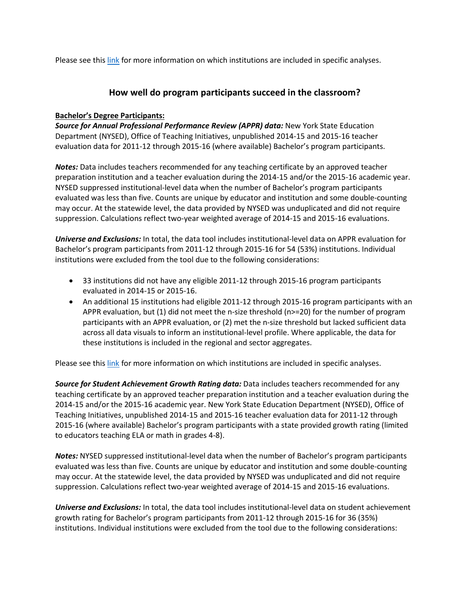Please see thi[s link](https://s3-us-east-2.amazonaws.com/edtrustmain/wp-content/uploads/sites/5/2019/08/09120926/Exclusions.pdf) for more information on which institutions are included in specific analyses.

# **How well do program participants succeed in the classroom?**

### **Bachelor's Degree Participants:**

*Source for Annual Professional Performance Review (APPR) data:* New York State Education Department (NYSED), Office of Teaching Initiatives, unpublished 2014-15 and 2015-16 teacher evaluation data for 2011-12 through 2015-16 (where available) Bachelor's program participants.

*Notes:* Data includes teachers recommended for any teaching certificate by an approved teacher preparation institution and a teacher evaluation during the 2014-15 and/or the 2015-16 academic year. NYSED suppressed institutional-level data when the number of Bachelor's program participants evaluated was less than five. Counts are unique by educator and institution and some double-counting may occur. At the statewide level, the data provided by NYSED was unduplicated and did not require suppression. Calculations reflect two-year weighted average of 2014-15 and 2015-16 evaluations.

*Universe and Exclusions:* In total, the data tool includes institutional-level data on APPR evaluation for Bachelor's program participants from 2011-12 through 2015-16 for 54 (53%) institutions. Individual institutions were excluded from the tool due to the following considerations:

- 33 institutions did not have any eligible 2011-12 through 2015-16 program participants evaluated in 2014-15 or 2015-16.
- An additional 15 institutions had eligible 2011-12 through 2015-16 program participants with an APPR evaluation, but (1) did not meet the n-size threshold (n>=20) for the number of program participants with an APPR evaluation, or (2) met the n-size threshold but lacked sufficient data across all data visuals to inform an institutional-level profile. Where applicable, the data for these institutions is included in the regional and sector aggregates.

Please see thi[s link](https://s3-us-east-2.amazonaws.com/edtrustmain/wp-content/uploads/sites/5/2019/08/09120926/Exclusions.pdf) for more information on which institutions are included in specific analyses.

*Source for Student Achievement Growth Rating data:* Data includes teachers recommended for any teaching certificate by an approved teacher preparation institution and a teacher evaluation during the 2014-15 and/or the 2015-16 academic year. New York State Education Department (NYSED), Office of Teaching Initiatives, unpublished 2014-15 and 2015-16 teacher evaluation data for 2011-12 through 2015-16 (where available) Bachelor's program participants with a state provided growth rating (limited to educators teaching ELA or math in grades 4-8).

*Notes:* NYSED suppressed institutional-level data when the number of Bachelor's program participants evaluated was less than five. Counts are unique by educator and institution and some double-counting may occur. At the statewide level, the data provided by NYSED was unduplicated and did not require suppression. Calculations reflect two-year weighted average of 2014-15 and 2015-16 evaluations.

*Universe and Exclusions:* In total, the data tool includes institutional-level data on student achievement growth rating for Bachelor's program participants from 2011-12 through 2015-16 for 36 (35%) institutions. Individual institutions were excluded from the tool due to the following considerations: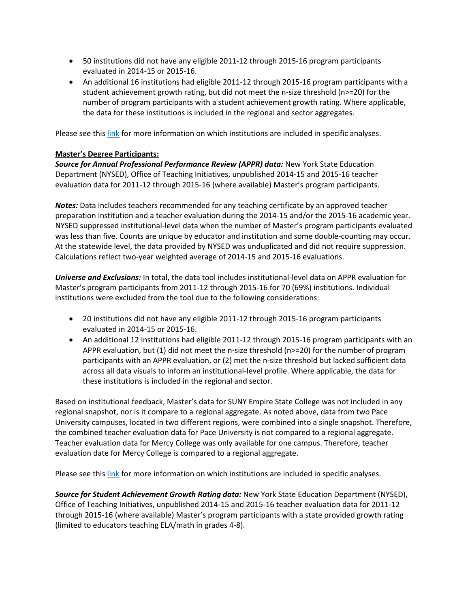- 50 institutions did not have any eligible 2011-12 through 2015-16 program participants evaluated in 2014-15 or 2015-16.
- An additional 16 institutions had eligible 2011-12 through 2015-16 program participants with a student achievement growth rating, but did not meet the n-size threshold (n>=20) for the number of program participants with a student achievement growth rating. Where applicable, the data for these institutions is included in the regional and sector aggregates.

Please see thi[s link](https://s3-us-east-2.amazonaws.com/edtrustmain/wp-content/uploads/sites/5/2019/08/09120926/Exclusions.pdf) for more information on which institutions are included in specific analyses.

### **Master's Degree Participants:**

*Source for Annual Professional Performance Review (APPR) data:* New York State Education Department (NYSED), Office of Teaching Initiatives, unpublished 2014-15 and 2015-16 teacher evaluation data for 2011-12 through 2015-16 (where available) Master's program participants.

*Notes:* Data includes teachers recommended for any teaching certificate by an approved teacher preparation institution and a teacher evaluation during the 2014-15 and/or the 2015-16 academic year. NYSED suppressed institutional-level data when the number of Master's program participants evaluated was less than five. Counts are unique by educator and institution and some double-counting may occur. At the statewide level, the data provided by NYSED was unduplicated and did not require suppression. Calculations reflect two-year weighted average of 2014-15 and 2015-16 evaluations.

*Universe and Exclusions:* In total, the data tool includes institutional-level data on APPR evaluation for Master's program participants from 2011-12 through 2015-16 for 70 (69%) institutions. Individual institutions were excluded from the tool due to the following considerations:

- 20 institutions did not have any eligible 2011-12 through 2015-16 program participants evaluated in 2014-15 or 2015-16.
- An additional 12 institutions had eligible 2011-12 through 2015-16 program participants with an APPR evaluation, but (1) did not meet the n-size threshold (n>=20) for the number of program participants with an APPR evaluation, or (2) met the n-size threshold but lacked sufficient data across all data visuals to inform an institutional-level profile. Where applicable, the data for these institutions is included in the regional and sector.

Based on institutional feedback, Master's data for SUNY Empire State College was not included in any regional snapshot, nor is it compare to a regional aggregate. As noted above, data from two Pace University campuses, located in two different regions, were combined into a single snapshot. Therefore, the combined teacher evaluation data for Pace University is not compared to a regional aggregate. Teacher evaluation data for Mercy College was only available for one campus. Therefore, teacher evaluation date for Mercy College is compared to a regional aggregate.

Please see thi[s link](https://s3-us-east-2.amazonaws.com/edtrustmain/wp-content/uploads/sites/5/2019/08/09120926/Exclusions.pdf) for more information on which institutions are included in specific analyses.

*Source for Student Achievement Growth Rating data:* New York State Education Department (NYSED), Office of Teaching Initiatives, unpublished 2014-15 and 2015-16 teacher evaluation data for 2011-12 through 2015-16 (where available) Master's program participants with a state provided growth rating (limited to educators teaching ELA/math in grades 4-8).